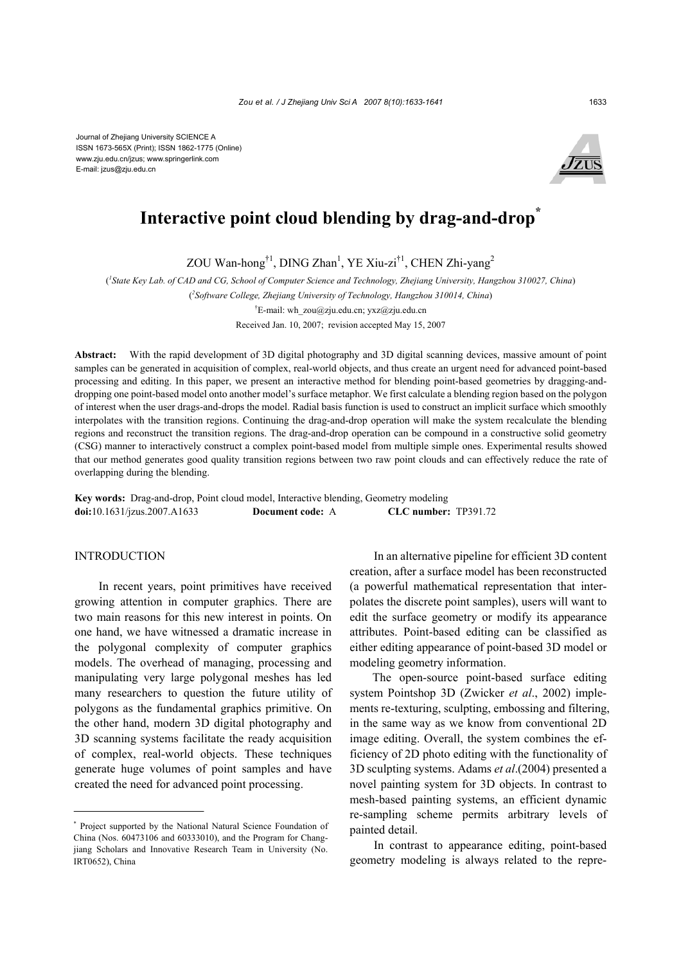

# Interactive point cloud blending by drag-and-drop<sup>\*</sup>

ZOU Wan-hong<sup>†1</sup>, DING Zhan<sup>1</sup>, YE Xiu-zi<sup>†1</sup>, CHEN Zhi-yang<sup>2</sup>

( *1 State Key Lab. of CAD and CG, School of Computer Science and Technology, Zhejiang University, Hangzhou 310027, China*) ( *2 Software College, Zhejiang University of Technology, Hangzhou 310014, China*) <sup>†</sup>E-mail: wh\_zou@zju.edu.cn; yxz@zju.edu.cn

Received Jan. 10, 2007; revision accepted May 15, 2007

**Abstract:** With the rapid development of 3D digital photography and 3D digital scanning devices, massive amount of point samples can be generated in acquisition of complex, real-world objects, and thus create an urgent need for advanced point-based processing and editing. In this paper, we present an interactive method for blending point-based geometries by dragging-anddropping one point-based model onto another model's surface metaphor. We first calculate a blending region based on the polygon of interest when the user drags-and-drops the model. Radial basis function is used to construct an implicit surface which smoothly interpolates with the transition regions. Continuing the drag-and-drop operation will make the system recalculate the blending regions and reconstruct the transition regions. The drag-and-drop operation can be compound in a constructive solid geometry (CSG) manner to interactively construct a complex point-based model from multiple simple ones. Experimental results showed that our method generates good quality transition regions between two raw point clouds and can effectively reduce the rate of overlapping during the blending.

**Key words:** Drag-and-drop, Point cloud model, Interactive blending, Geometry modeling **doi:**10.1631/jzus.2007.A1633 **Document code:** A **CLC number:** TP391.72

# INTRODUCTION

In recent years, point primitives have received growing attention in computer graphics. There are two main reasons for this new interest in points. On one hand, we have witnessed a dramatic increase in the polygonal complexity of computer graphics models. The overhead of managing, processing and manipulating very large polygonal meshes has led many researchers to question the future utility of polygons as the fundamental graphics primitive. On the other hand, modern 3D digital photography and 3D scanning systems facilitate the ready acquisition of complex, real-world objects. These techniques generate huge volumes of point samples and have created the need for advanced point processing.

In an alternative pipeline for efficient 3D content creation, after a surface model has been reconstructed (a powerful mathematical representation that interpolates the discrete point samples), users will want to edit the surface geometry or modify its appearance attributes. Point-based editing can be classified as either editing appearance of point-based 3D model or modeling geometry information.

The open-source point-based surface editing system Pointshop 3D (Zwicker *et al*., 2002) implements re-texturing, sculpting, embossing and filtering, in the same way as we know from conventional 2D image editing. Overall, the system combines the efficiency of 2D photo editing with the functionality of 3D sculpting systems. Adams *et al*.(2004) presented a novel painting system for 3D objects. In contrast to mesh-based painting systems, an efficient dynamic re-sampling scheme permits arbitrary levels of painted detail.

In contrast to appearance editing, point-based geometry modeling is always related to the repre-

<sup>\*</sup> Project supported by the National Natural Science Foundation of China (Nos. 60473106 and 60333010), and the Program for Changjiang Scholars and Innovative Research Team in University (No. IRT0652), China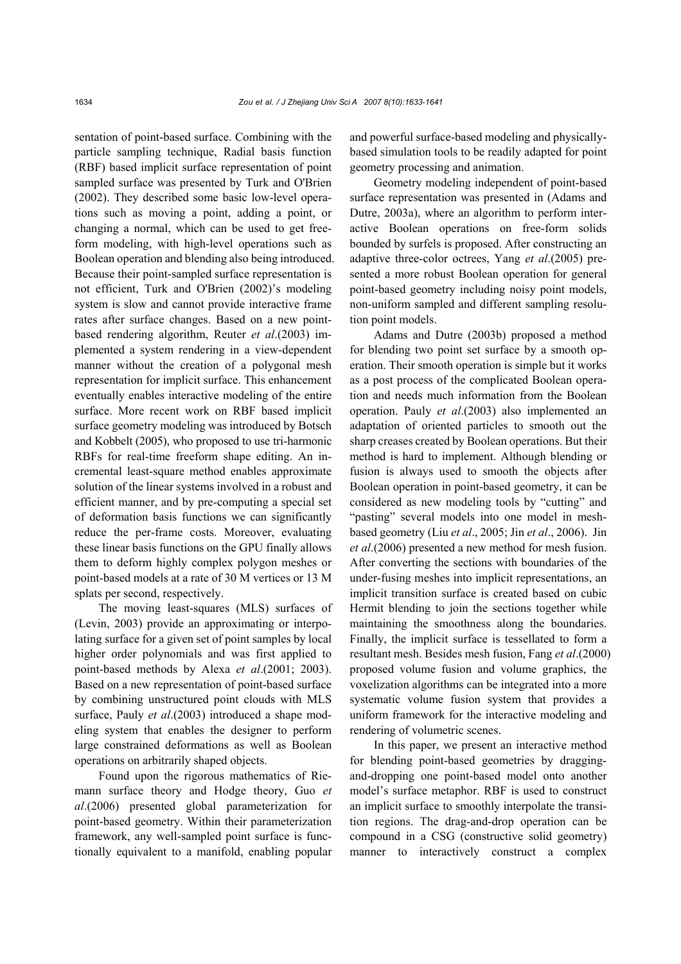sentation of point-based surface. Combining with the particle sampling technique, Radial basis function (RBF) based implicit surface representation of point sampled surface was presented by Turk and O'Brien (2002). They described some basic low-level operations such as moving a point, adding a point, or changing a normal, which can be used to get freeform modeling, with high-level operations such as Boolean operation and blending also being introduced. Because their point-sampled surface representation is not efficient, Turk and O'Brien (2002)'s modeling system is slow and cannot provide interactive frame rates after surface changes. Based on a new pointbased rendering algorithm, Reuter *et al*.(2003) implemented a system rendering in a view-dependent manner without the creation of a polygonal mesh representation for implicit surface. This enhancement eventually enables interactive modeling of the entire surface. More recent work on RBF based implicit surface geometry modeling was introduced by Botsch and Kobbelt (2005), who proposed to use tri-harmonic RBFs for real-time freeform shape editing. An incremental least-square method enables approximate solution of the linear systems involved in a robust and efficient manner, and by pre-computing a special set of deformation basis functions we can significantly reduce the per-frame costs. Moreover, evaluating these linear basis functions on the GPU finally allows them to deform highly complex polygon meshes or point-based models at a rate of 30 M vertices or 13 M splats per second, respectively.

The moving least-squares (MLS) surfaces of (Levin, 2003) provide an approximating or interpolating surface for a given set of point samples by local higher order polynomials and was first applied to point-based methods by Alexa *et al*.(2001; 2003). Based on a new representation of point-based surface by combining unstructured point clouds with MLS surface, Pauly *et al*.(2003) introduced a shape modeling system that enables the designer to perform large constrained deformations as well as Boolean operations on arbitrarily shaped objects.

Found upon the rigorous mathematics of Riemann surface theory and Hodge theory, Guo *et al*.(2006) presented global parameterization for point-based geometry. Within their parameterization framework, any well-sampled point surface is functionally equivalent to a manifold, enabling popular and powerful surface-based modeling and physicallybased simulation tools to be readily adapted for point geometry processing and animation.

Geometry modeling independent of point-based surface representation was presented in (Adams and Dutre, 2003a), where an algorithm to perform interactive Boolean operations on free-form solids bounded by surfels is proposed. After constructing an adaptive three-color octrees, Yang *et al*.(2005) presented a more robust Boolean operation for general point-based geometry including noisy point models, non-uniform sampled and different sampling resolution point models.

Adams and Dutre (2003b) proposed a method for blending two point set surface by a smooth operation. Their smooth operation is simple but it works as a post process of the complicated Boolean operation and needs much information from the Boolean operation. Pauly *et al*.(2003) also implemented an adaptation of oriented particles to smooth out the sharp creases created by Boolean operations. But their method is hard to implement. Although blending or fusion is always used to smooth the objects after Boolean operation in point-based geometry, it can be considered as new modeling tools by "cutting" and "pasting" several models into one model in meshbased geometry (Liu *et al*., 2005; Jin *et al*., 2006). Jin *et al*.(2006) presented a new method for mesh fusion. After converting the sections with boundaries of the under-fusing meshes into implicit representations, an implicit transition surface is created based on cubic Hermit blending to join the sections together while maintaining the smoothness along the boundaries. Finally, the implicit surface is tessellated to form a resultant mesh. Besides mesh fusion, Fang *et al*.(2000) proposed volume fusion and volume graphics, the voxelization algorithms can be integrated into a more systematic volume fusion system that provides a uniform framework for the interactive modeling and rendering of volumetric scenes.

In this paper, we present an interactive method for blending point-based geometries by draggingand-dropping one point-based model onto another model's surface metaphor. RBF is used to construct an implicit surface to smoothly interpolate the transition regions. The drag-and-drop operation can be compound in a CSG (constructive solid geometry) manner to interactively construct a complex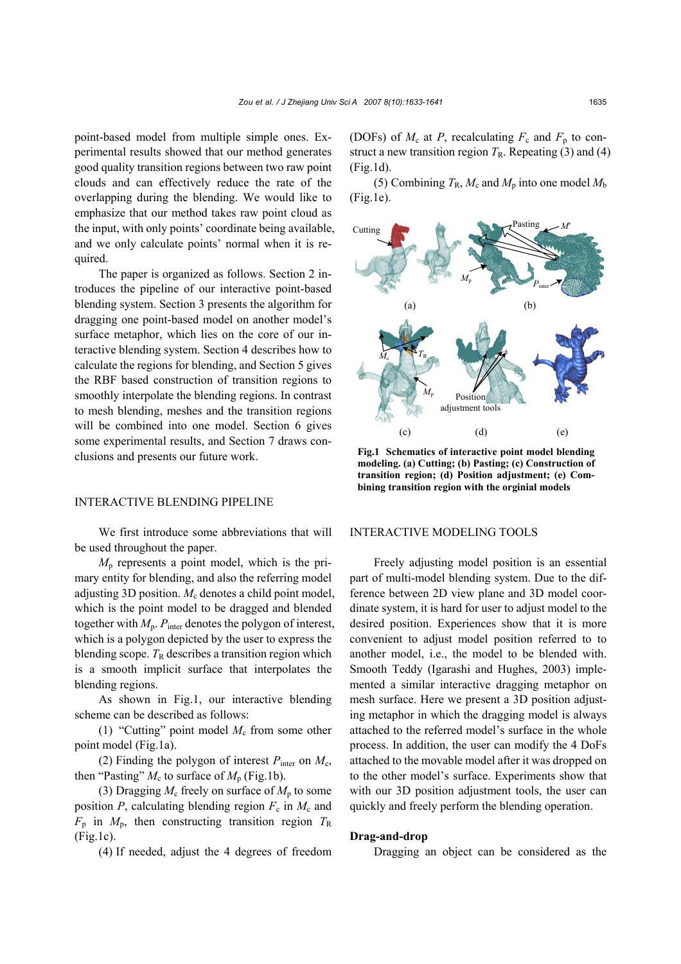point-based model from multiple simple ones. Experimental results showed that our method generates good quality transition regions between two raw point clouds and can effectively reduce the rate of the overlapping during the blending. We would like to emphasize that our method takes raw point cloud as the input, with only points' coordinate being available, and we only calculate points' normal when it is required.

The paper is organized as follows. Section 2 introduces the pipeline of our interactive point-based blending system. Section 3 presents the algorithm for dragging one point-based model on another model's surface metaphor, which lies on the core of our interactive blending system. Section 4 describes how to calculate the regions for blending, and Section 5 gives the RBF based construction of transition regions to smoothly interpolate the blending regions. In contrast to mesh blending, meshes and the transition regions will be combined into one model. Section 6 gives some experimental results, and Section 7 draws conclusions and presents our future work.

### INTERACTIVE BLENDING PIPELINE

We first introduce some abbreviations that will be used throughout the paper.

*M*p represents a point model, which is the primary entity for blending, and also the referring model adjusting 3D position. *M<sub>c</sub>* denotes a child point model, which is the point model to be dragged and blended together with *M*p. *P*inter denotes the polygon of interest, which is a polygon depicted by the user to express the blending scope.  $T_R$  describes a transition region which is a smooth implicit surface that interpolates the blending regions.

As shown in Fig.1, our interactive blending scheme can be described as follows:

(1) "Cutting" point model  $M_c$  from some other point model (Fig.1a).

(2) Finding the polygon of interest  $P_{\text{inter}}$  on  $M_c$ , then "Pasting"  $M_c$  to surface of  $M_p$  (Fig.1b).

(3) Dragging  $M_c$  freely on surface of  $M_p$  to some position  $P$ , calculating blending region  $F_c$  in  $M_c$  and  $F_p$  in  $M_p$ , then constructing transition region  $T_R$ (Fig.1c).

(4) If needed, adjust the 4 degrees of freedom

(DOFs) of  $M_c$  at P, recalculating  $F_c$  and  $F_p$  to construct a new transition region  $T_R$ . Repeating (3) and (4) (Fig.1d).

(5) Combining  $T_R$ ,  $M_c$  and  $M_p$  into one model  $M_b$ (Fig.1e).



**Fig.1 Schematics of interactive point model blending modeling. (a) Cutting; (b) Pasting; (c) Construction of transition region; (d) Position adjustment; (e) Combining transition region with the orginial models** 

## INTERACTIVE MODELING TOOLS

Freely adjusting model position is an essential part of multi-model blending system. Due to the difference between 2D view plane and 3D model coordinate system, it is hard for user to adjust model to the desired position. Experiences show that it is more convenient to adjust model position referred to to another model, i.e., the model to be blended with. Smooth Teddy (Igarashi and Hughes, 2003) implemented a similar interactive dragging metaphor on mesh surface. Here we present a 3D position adjusting metaphor in which the dragging model is always attached to the referred model's surface in the whole process. In addition, the user can modify the 4 DoFs attached to the movable model after it was dropped on to the other model's surface. Experiments show that with our 3D position adjustment tools, the user can quickly and freely perform the blending operation.

#### **Drag-and-drop**

Dragging an object can be considered as the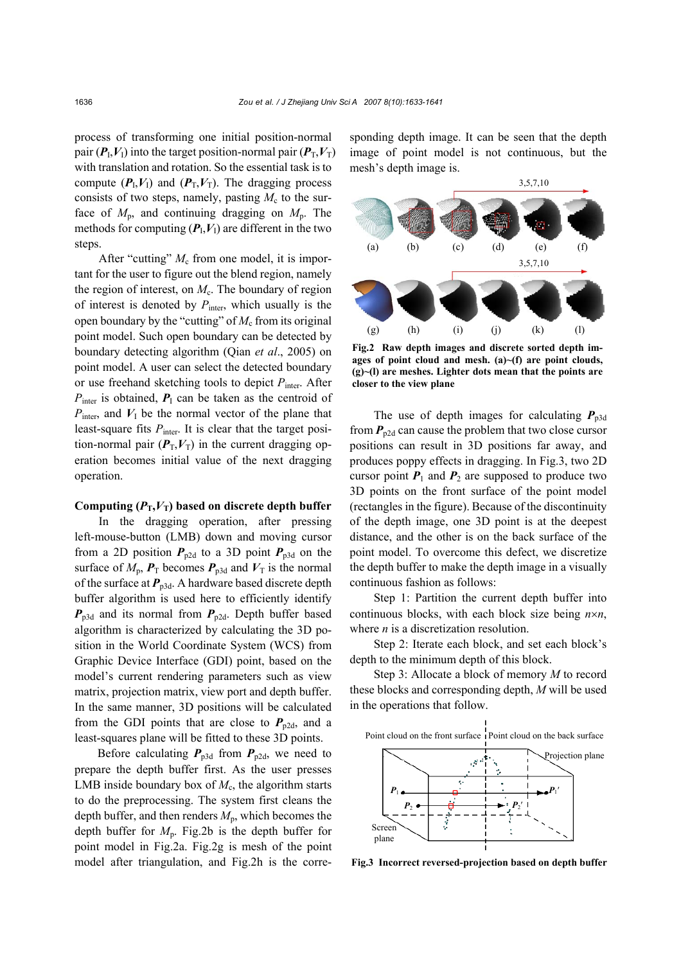process of transforming one initial position-normal pair  $(P_1, V_1)$  into the target position-normal pair  $(P_T, V_T)$ with translation and rotation. So the essential task is to compute  $(P_I, V_I)$  and  $(P_T, V_T)$ . The dragging process consists of two steps, namely, pasting  $M_c$  to the surface of  $M_p$ , and continuing dragging on  $M_p$ . The methods for computing  $(P_I, V_I)$  are different in the two steps.

After "cutting"  $M_c$  from one model, it is important for the user to figure out the blend region, namely the region of interest, on  $M_c$ . The boundary of region of interest is denoted by  $P_{\text{inter}}$ , which usually is the open boundary by the "cutting" of  $M_c$  from its original point model. Such open boundary can be detected by boundary detecting algorithm (Qian *et al*., 2005) on point model. A user can select the detected boundary or use freehand sketching tools to depict *P*inter. After  $P_{\text{inter}}$  is obtained,  $P_{\text{I}}$  can be taken as the centroid of  $P_{\text{inter}}$ , and  $V_{\text{I}}$  be the normal vector of the plane that least-square fits  $P_{\text{inter}}$ . It is clear that the target position-normal pair  $(P_T, V_T)$  in the current dragging operation becomes initial value of the next dragging operation.

#### Computing  $(P_T, V_T)$  based on discrete depth buffer

In the dragging operation, after pressing left-mouse-button (LMB) down and moving cursor from a 2D position  $P_{p2d}$  to a 3D point  $P_{p3d}$  on the surface of  $M_p$ ,  $P_T$  becomes  $P_{p3d}$  and  $V_T$  is the normal of the surface at  $P_{p3d}$ . A hardware based discrete depth buffer algorithm is used here to efficiently identify  $P_{p3d}$  and its normal from  $P_{p2d}$ . Depth buffer based algorithm is characterized by calculating the 3D position in the World Coordinate System (WCS) from Graphic Device Interface (GDI) point, based on the model's current rendering parameters such as view matrix, projection matrix, view port and depth buffer. In the same manner, 3D positions will be calculated from the GDI points that are close to  $P_{p2d}$ , and a least-squares plane will be fitted to these 3D points.

Before calculating  $P_{p3d}$  from  $P_{p2d}$ , we need to prepare the depth buffer first. As the user presses LMB inside boundary box of  $M_c$ , the algorithm starts to do the preprocessing. The system first cleans the depth buffer, and then renders  $M_p$ , which becomes the depth buffer for  $M_p$ . Fig.2b is the depth buffer for point model in Fig.2a. Fig.2g is mesh of the point model after triangulation, and Fig.2h is the corresponding depth image. It can be seen that the depth image of point model is not continuous, but the mesh's depth image is.



**Fig.2 Raw depth images and discrete sorted depth images of point cloud and mesh. (a)~(f) are point clouds, (g)~(l) are meshes. Lighter dots mean that the points are closer to the view plane**

The use of depth images for calculating  $P_{p3d}$ from  $P_{p2d}$  can cause the problem that two close cursor positions can result in 3D positions far away, and produces poppy effects in dragging. In Fig.3, two 2D cursor point  $P_1$  and  $P_2$  are supposed to produce two 3D points on the front surface of the point model (rectangles in the figure). Because of the discontinuity of the depth image, one 3D point is at the deepest distance, and the other is on the back surface of the point model. To overcome this defect, we discretize the depth buffer to make the depth image in a visually continuous fashion as follows:

Step 1: Partition the current depth buffer into continuous blocks, with each block size being *n*×*n*, where *n* is a discretization resolution.

Step 2: Iterate each block, and set each block's depth to the minimum depth of this block.

Step 3: Allocate a block of memory *M* to record these blocks and corresponding depth, *M* will be used in the operations that follow.



**Fig.3 Incorrect reversed-projection based on depth buffer**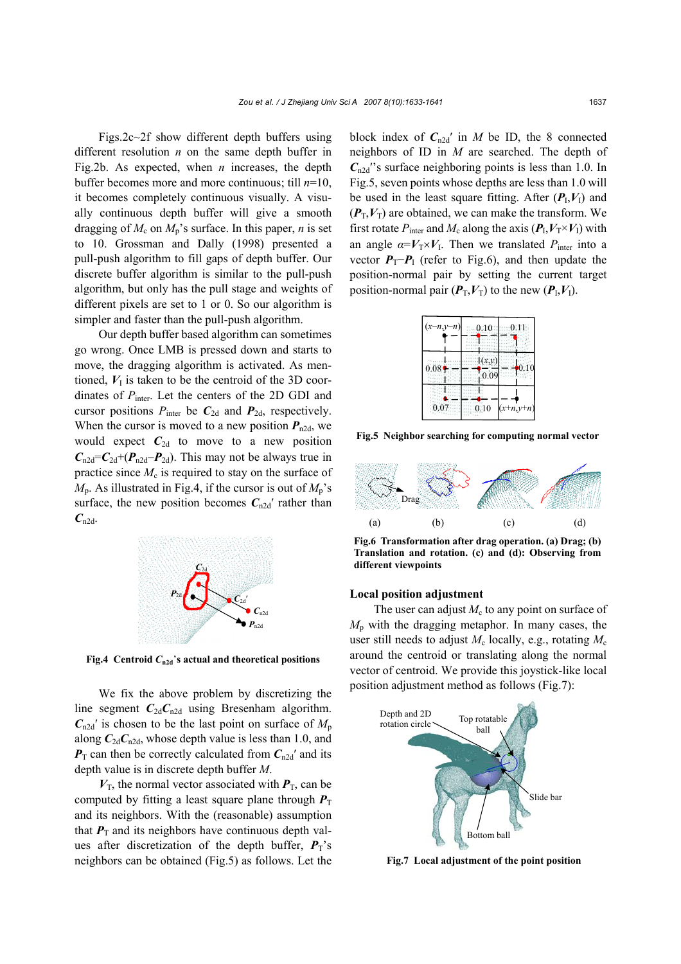Figs.2c~2f show different depth buffers using different resolution *n* on the same depth buffer in Fig.2b. As expected, when *n* increases, the depth buffer becomes more and more continuous; till *n*=10, it becomes completely continuous visually. A visually continuous depth buffer will give a smooth dragging of  $M_c$  on  $M_p$ 's surface. In this paper, *n* is set to 10. Grossman and Dally (1998) presented a pull-push algorithm to fill gaps of depth buffer. Our discrete buffer algorithm is similar to the pull-push algorithm, but only has the pull stage and weights of different pixels are set to 1 or 0. So our algorithm is simpler and faster than the pull-push algorithm.

Our depth buffer based algorithm can sometimes go wrong. Once LMB is pressed down and starts to move, the dragging algorithm is activated. As mentioned,  $V<sub>I</sub>$  is taken to be the centroid of the 3D coordinates of  $P_{\text{inter}}$ . Let the centers of the 2D GDI and cursor positions  $P_{\text{inter}}$  be  $C_{2d}$  and  $P_{2d}$ , respectively. When the cursor is moved to a new position  $P_{n2d}$ , we would expect  $C_{2d}$  to move to a new position  $C_{n2d}$ = $C_{2d}$ + $(P_{n2d}-P_{2d})$ . This may not be always true in practice since  $M_c$  is required to stay on the surface of  $M_p$ . As illustrated in Fig.4, if the cursor is out of  $M_p$ 's surface, the new position becomes  $C_{n2d}$ <sup>'</sup> rather than  $C_{n2d}$ .



**Fig.4** Centroid  $C_{n2d}$ 's actual and theoretical positions

We fix the above problem by discretizing the line segment  $C_{2d}C_{n2d}$  using Bresenham algorithm.  $C_{n2d}$ <sup>'</sup> is chosen to be the last point on surface of  $M_p$ along  $C_{2d}C_{n2d}$ , whose depth value is less than 1.0, and  $P_T$  can then be correctly calculated from  $C_{n2d}$ <sup>'</sup> and its depth value is in discrete depth buffer *M*.

 $V<sub>T</sub>$ , the normal vector associated with  $P<sub>T</sub>$ , can be computed by fitting a least square plane through  $P_T$ and its neighbors. With the (reasonable) assumption that  $P<sub>T</sub>$  and its neighbors have continuous depth values after discretization of the depth buffer,  $P_T$ 's neighbors can be obtained (Fig.5) as follows. Let the block index of  $C_{n2d}$ ' in *M* be ID, the 8 connected neighbors of ID in *M* are searched. The depth of  $C_{n2d}$ <sup>o</sup>'s surface neighboring points is less than 1.0. In Fig.5, seven points whose depths are less than 1.0 will be used in the least square fitting. After  $(P_I, V_I)$  and  $(P_T, V_T)$  are obtained, we can make the transform. We first rotate  $P_{\text{inter}}$  and  $M_c$  along the axis  $(P_I, V_T \times V_I)$  with an angle  $\alpha = V_T \times V_I$ . Then we translated  $P_{\text{inter}}$  into a vector  $P_T$ − $P_I$  (refer to Fig.6), and then update the position-normal pair by setting the current target position-normal pair  $(P_T, V_T)$  to the new  $(P_I, V_I)$ .



**Fig.5 Neighbor searching for computing normal vector**



**Fig.6 Transformation after drag operation. (a) Drag; (b) Translation and rotation. (c) and (d): Observing from different viewpoints**

#### **Local position adjustment**

The user can adjust  $M_c$  to any point on surface of *M*p with the dragging metaphor. In many cases, the user still needs to adjust  $M_c$  locally, e.g., rotating  $M_c$ around the centroid or translating along the normal vector of centroid. We provide this joystick-like local position adjustment method as follows (Fig.7):



**Fig.7 Local adjustment of the point position**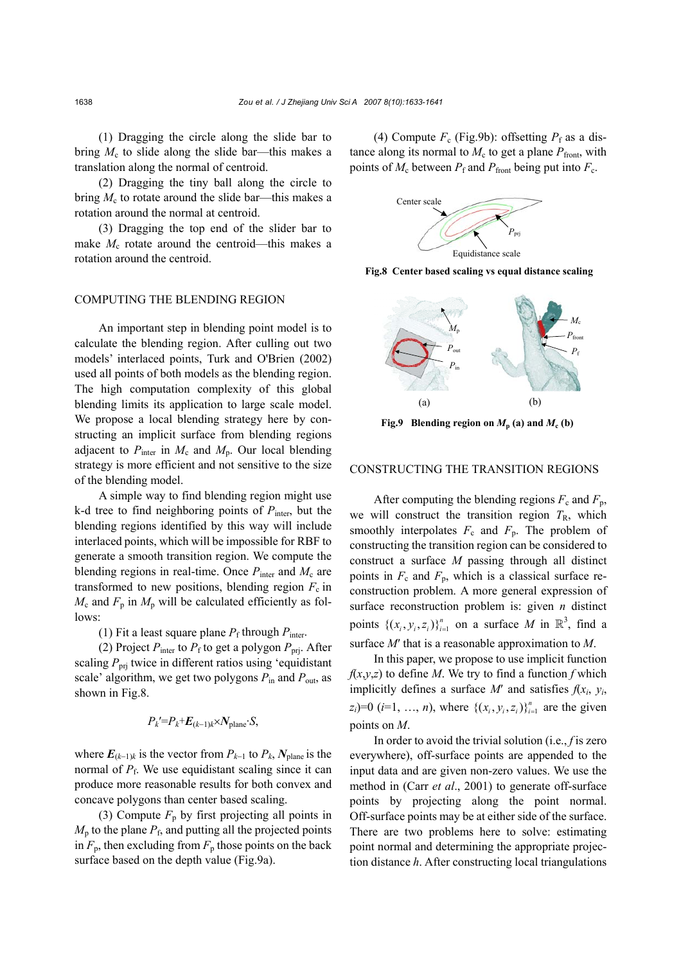(1) Dragging the circle along the slide bar to bring  $M_c$  to slide along the slide bar—this makes a translation along the normal of centroid.

(2) Dragging the tiny ball along the circle to bring  $M_c$  to rotate around the slide bar—this makes a rotation around the normal at centroid.

(3) Dragging the top end of the slider bar to make  $M_c$  rotate around the centroid—this makes a rotation around the centroid.

#### COMPUTING THE BLENDING REGION

An important step in blending point model is to calculate the blending region. After culling out two models' interlaced points, Turk and O'Brien (2002) used all points of both models as the blending region. The high computation complexity of this global blending limits its application to large scale model. We propose a local blending strategy here by constructing an implicit surface from blending regions adjacent to  $P_{\text{inter}}$  in  $M_c$  and  $M_p$ . Our local blending strategy is more efficient and not sensitive to the size of the blending model.

A simple way to find blending region might use k-d tree to find neighboring points of  $P_{\text{inter}}$ , but the blending regions identified by this way will include interlaced points, which will be impossible for RBF to generate a smooth transition region. We compute the blending regions in real-time. Once  $P_{\text{inter}}$  and  $M_c$  are transformed to new positions, blending region  $F_c$  in  $M_c$  and  $F_p$  in  $M_p$  will be calculated efficiently as follows:

(1) Fit a least square plane  $P_f$  through  $P_{\text{inter}}$ .

(2) Project  $P_{\text{inter}}$  to  $P_f$  to get a polygon  $P_{\text{pri}}$ . After scaling  $P_{\text{pri}}$  twice in different ratios using 'equidistant scale' algorithm, we get two polygons *P*in and *P*out, as shown in Fig.8.

$$
P_k = P_k + E_{(k-1)k} \times N_{\text{plane}} \cdot S,
$$

where  $E_{(k-1)k}$  is the vector from  $P_{k-1}$  to  $P_k$ ,  $N_{\text{plane}}$  is the normal of  $P_f$ . We use equidistant scaling since it can produce more reasonable results for both convex and concave polygons than center based scaling.

(3) Compute  $F_p$  by first projecting all points in  $M<sub>p</sub>$  to the plane  $P<sub>f</sub>$ , and putting all the projected points in  $F_p$ , then excluding from  $F_p$  those points on the back surface based on the depth value (Fig.9a).

(4) Compute  $F_c$  (Fig.9b): offsetting  $P_f$  as a distance along its normal to  $M_c$  to get a plane  $P_{front}$ , with points of  $M_c$  between  $P_f$  and  $P_{front}$  being put into  $F_c$ .



**Fig.8 Center based scaling vs equal distance scaling**



**Fig.9** Blending region on  $M_p$  (a) and  $M_c$  (b)

# CONSTRUCTING THE TRANSITION REGIONS

After computing the blending regions  $F_c$  and  $F_p$ , we will construct the transition region  $T<sub>R</sub>$ , which smoothly interpolates  $F_c$  and  $F_p$ . The problem of constructing the transition region can be considered to construct a surface *M* passing through all distinct points in  $F_c$  and  $F_p$ , which is a classical surface reconstruction problem. A more general expression of surface reconstruction problem is: given *n* distinct points  $\{(x_i, y_i, z_i)\}_{i=1}^n$  on a surface *M* in  $\mathbb{R}^3$ , find a surface *M*′ that is a reasonable approximation to *M*.

In this paper, we propose to use implicit function  $f(x,y,z)$  to define *M*. We try to find a function *f* which implicitly defines a surface  $M'$  and satisfies  $f(x_i, y_i)$ ,  $(z_i)=0$  (*i*=1, ..., *n*), where  $\{(x_i, y_i, z_i)\}_{i=1}^n$  are the given points on *M*.

In order to avoid the trivial solution (i.e., *f* is zero everywhere), off-surface points are appended to the input data and are given non-zero values. We use the method in (Carr *et al*., 2001) to generate off-surface points by projecting along the point normal. Off-surface points may be at either side of the surface. There are two problems here to solve: estimating point normal and determining the appropriate projection distance *h*. After constructing local triangulations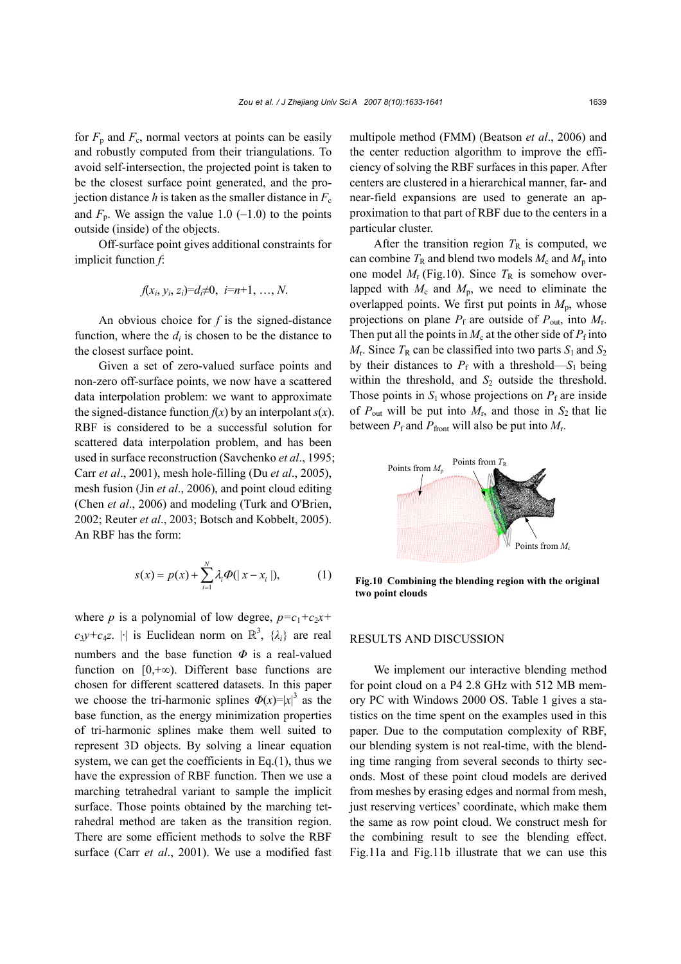for  $F_p$  and  $F_c$ , normal vectors at points can be easily and robustly computed from their triangulations. To avoid self-intersection, the projected point is taken to be the closest surface point generated, and the projection distance *h* is taken as the smaller distance in  $F_c$ and  $F_p$ . We assign the value 1.0 (-1.0) to the points outside (inside) of the objects.

Off-surface point gives additional constraints for implicit function *f*:

$$
f(x_i, y_i, z_i) = d_i \neq 0, i = n+1, ..., N.
$$

An obvious choice for *f* is the signed-distance function, where the  $d_i$  is chosen to be the distance to the closest surface point.

Given a set of zero-valued surface points and non-zero off-surface points, we now have a scattered data interpolation problem: we want to approximate the signed-distance function  $f(x)$  by an interpolant  $s(x)$ . RBF is considered to be a successful solution for scattered data interpolation problem, and has been used in surface reconstruction (Savchenko *et al*., 1995; Carr *et al*., 2001), mesh hole-filling (Du *et al*., 2005), mesh fusion (Jin *et al*., 2006), and point cloud editing (Chen *et al*., 2006) and modeling (Turk and O'Brien, 2002; Reuter *et al*., 2003; Botsch and Kobbelt, 2005). An RBF has the form:

$$
s(x) = p(x) + \sum_{i=1}^{N} \lambda_i \Phi(|x - x_i|),
$$
 (1)

where *p* is a polynomial of low degree,  $p = c_1 + c_2x + c_1x$  $c_3y+c_4z$ . |·| is Euclidean norm on  $\mathbb{R}^3$ ,  $\{\lambda_i\}$  are real numbers and the base function *Φ* is a real-valued function on  $[0, +\infty)$ . Different base functions are chosen for different scattered datasets. In this paper we choose the tri-harmonic splines  $\Phi(x) = |x|^3$  as the base function, as the energy minimization properties of tri-harmonic splines make them well suited to represent 3D objects. By solving a linear equation system, we can get the coefficients in Eq.(1), thus we have the expression of RBF function. Then we use a marching tetrahedral variant to sample the implicit surface. Those points obtained by the marching tetrahedral method are taken as the transition region. There are some efficient methods to solve the RBF surface (Carr *et al*., 2001). We use a modified fast

multipole method (FMM) (Beatson *et al*., 2006) and the center reduction algorithm to improve the efficiency of solving the RBF surfaces in this paper. After centers are clustered in a hierarchical manner, far- and near-field expansions are used to generate an approximation to that part of RBF due to the centers in a particular cluster.

After the transition region  $T_R$  is computed, we can combine  $T_R$  and blend two models  $M_c$  and  $M_p$  into one model  $M_r$  (Fig.10). Since  $T_R$  is somehow overlapped with  $M_c$  and  $M_p$ , we need to eliminate the overlapped points. We first put points in  $M_{\rm p}$ , whose projections on plane  $P_f$  are outside of  $P_{\text{out}}$ , into  $M_f$ . Then put all the points in  $M_c$  at the other side of  $P_f$  into  $M_r$ . Since  $T_R$  can be classified into two parts  $S_1$  and  $S_2$ by their distances to  $P_f$  with a threshold— $S_1$  being within the threshold, and  $S_2$  outside the threshold. Those points in  $S_1$  whose projections on  $P_f$  are inside of  $P_{\text{out}}$  will be put into  $M_{\text{r}}$ , and those in  $S_2$  that lie between  $P_f$  and  $P_{front}$  will also be put into  $M_r$ .



**Fig.10 Combining the blending region with the original two point clouds**

#### RESULTS AND DISCUSSION

We implement our interactive blending method for point cloud on a P4 2.8 GHz with 512 MB memory PC with Windows 2000 OS. Table 1 gives a statistics on the time spent on the examples used in this paper. Due to the computation complexity of RBF, our blending system is not real-time, with the blending time ranging from several seconds to thirty seconds. Most of these point cloud models are derived from meshes by erasing edges and normal from mesh, just reserving vertices' coordinate, which make them the same as row point cloud. We construct mesh for the combining result to see the blending effect. Fig.11a and Fig.11b illustrate that we can use this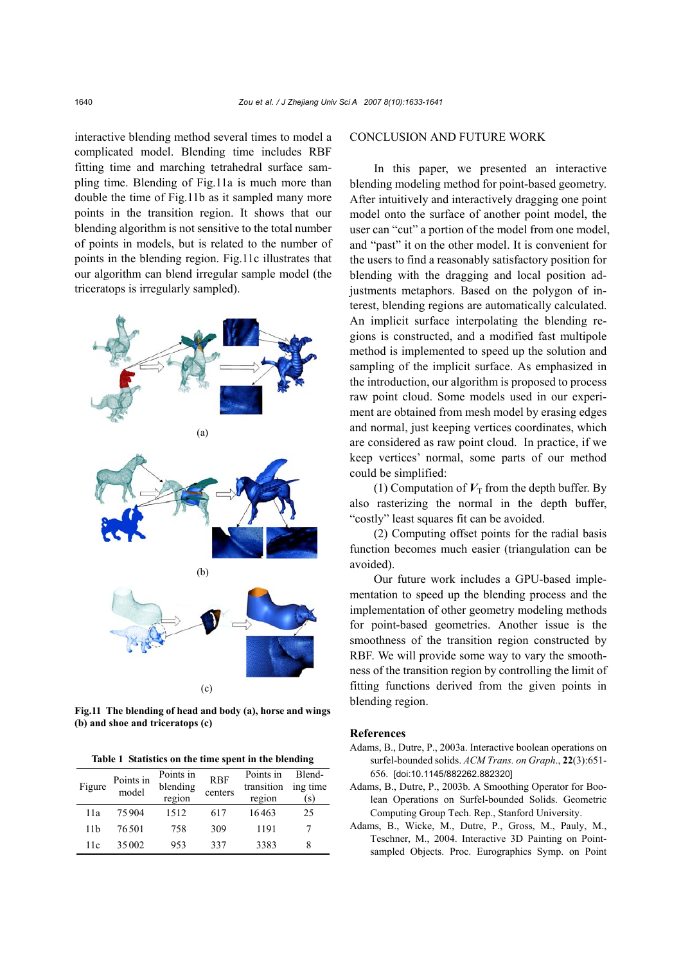interactive blending method several times to model a complicated model. Blending time includes RBF fitting time and marching tetrahedral surface sampling time. Blending of Fig.11a is much more than double the time of Fig.11b as it sampled many more points in the transition region. It shows that our blending algorithm is not sensitive to the total number of points in models, but is related to the number of points in the blending region. Fig.11c illustrates that our algorithm can blend irregular sample model (the triceratops is irregularly sampled).



**Fig.11 The blending of head and body (a), horse and wings (b) and shoe and triceratops (c)** 

**Table 1 Statistics on the time spent in the blending** 

| Figure | Points in<br>model | Points in<br>blending<br>region | <b>RBF</b><br>centers | Points in<br>transition<br>region | Blend-<br>ing time<br>(s) |
|--------|--------------------|---------------------------------|-----------------------|-----------------------------------|---------------------------|
| 11a    | 75904              | 1512                            | 617                   | 16463                             | 25                        |
| 11b    | 76.501             | 758                             | 309                   | 1191                              |                           |
| 11c    | 35002              | 953                             | 337                   | 3383                              | 8                         |

# CONCLUSION AND FUTURE WORK

In this paper, we presented an interactive blending modeling method for point-based geometry. After intuitively and interactively dragging one point model onto the surface of another point model, the user can "cut" a portion of the model from one model, and "past" it on the other model. It is convenient for the users to find a reasonably satisfactory position for blending with the dragging and local position adjustments metaphors. Based on the polygon of interest, blending regions are automatically calculated. An implicit surface interpolating the blending regions is constructed, and a modified fast multipole method is implemented to speed up the solution and sampling of the implicit surface. As emphasized in the introduction, our algorithm is proposed to process raw point cloud. Some models used in our experiment are obtained from mesh model by erasing edges and normal, just keeping vertices coordinates, which are considered as raw point cloud. In practice, if we keep vertices' normal, some parts of our method could be simplified:

(1) Computation of  $V_T$  from the depth buffer. By also rasterizing the normal in the depth buffer, "costly" least squares fit can be avoided.

(2) Computing offset points for the radial basis function becomes much easier (triangulation can be avoided).

Our future work includes a GPU-based implementation to speed up the blending process and the implementation of other geometry modeling methods for point-based geometries. Another issue is the smoothness of the transition region constructed by RBF. We will provide some way to vary the smoothness of the transition region by controlling the limit of fitting functions derived from the given points in blending region.

#### **References**

- Adams, B., Dutre, P., 2003a. Interactive boolean operations on surfel-bounded solids. *ACM Trans. on Graph*., **22**(3):651- 656. [doi:10.1145/882262.882320]
- Adams, B., Dutre, P., 2003b. A Smoothing Operator for Boolean Operations on Surfel-bounded Solids. Geometric Computing Group Tech. Rep., Stanford University.
- Adams, B., Wicke, M., Dutre, P., Gross, M., Pauly, M., Teschner, M., 2004. Interactive 3D Painting on Pointsampled Objects. Proc. Eurographics Symp. on Point